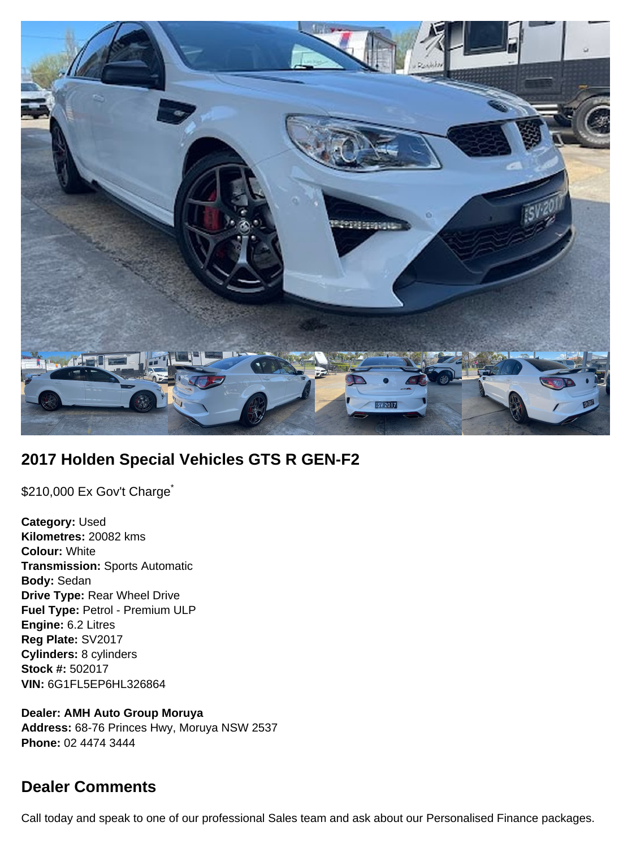

# **2017 Holden Special Vehicles GTS R GEN-F2**

\$210,000 Ex Gov't Charge<sup>\*</sup>

**Category:** Used **Kilometres:** 20082 kms **Colour:** White **Transmission:** Sports Automatic **Body:** Sedan **Drive Type:** Rear Wheel Drive **Fuel Type:** Petrol - Premium ULP **Engine:** 6.2 Litres **Reg Plate:** SV2017 **Cylinders:** 8 cylinders **Stock #:** 502017 **VIN:** 6G1FL5EP6HL326864

**Dealer: AMH Auto Group Moruya Address:** 68-76 Princes Hwy, Moruya NSW 2537 **Phone:** 02 4474 3444

## **Dealer Comments**

Call today and speak to one of our professional Sales team and ask about our Personalised Finance packages.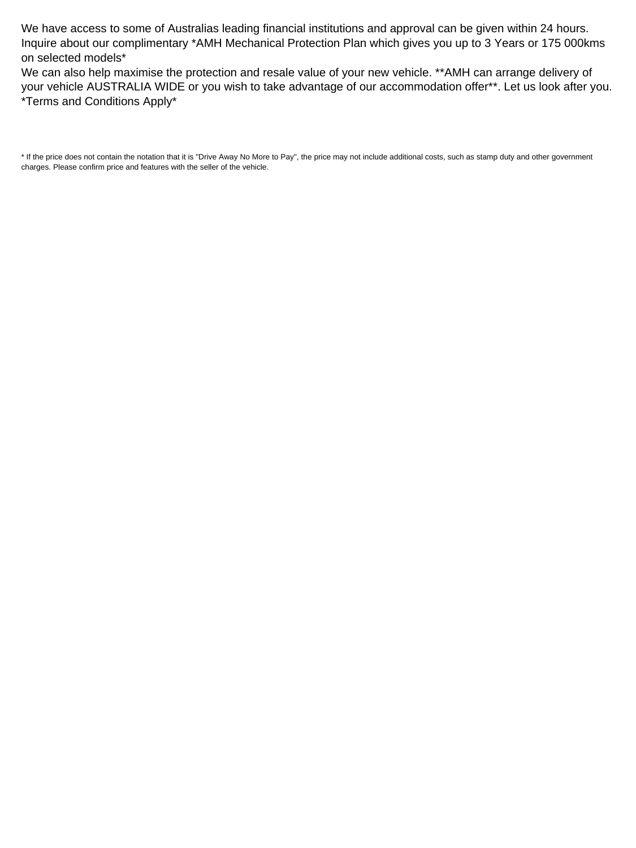We have access to some of Australias leading financial institutions and approval can be given within 24 hours. Inquire about our complimentary \*AMH Mechanical Protection Plan which gives you up to 3 Years or 175 000kms on selected models\*

We can also help maximise the protection and resale value of your new vehicle. \*\*AMH can arrange delivery of your vehicle AUSTRALIA WIDE or you wish to take advantage of our accommodation offer\*\*. Let us look after you. \*Terms and Conditions Apply\*

\* If the price does not contain the notation that it is "Drive Away No More to Pay", the price may not include additional costs, such as stamp duty and other government charges. Please confirm price and features with the seller of the vehicle.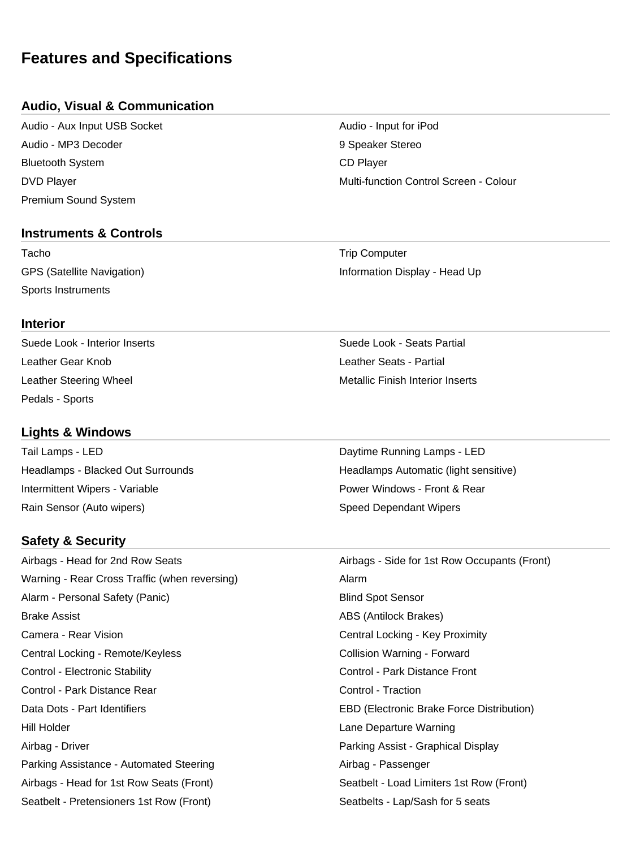## **Features and Specifications**

### **Audio, Visual & Communication**

Audio - Aux Input USB Socket Audio - Input for iPod Audio - MP3 Decoder 9 Speaker Stereo Bluetooth System CD Player Premium Sound System

#### **Instruments & Controls**

Tacho **Trip Computer** Trip Computer Sports Instruments

**Interior**

Leather Gear Knob Leather Seats - Partial Pedals - Sports

#### **Lights & Windows**

Tail Lamps - LED **Daytime Running Lamps - LED** Intermittent Wipers - Variable **Power Windows - Front & Rear** Power Windows - Front & Rear Rain Sensor (Auto wipers) New York Speed Dependant Wipers

## **Safety & Security**

Airbags - Head for 2nd Row Seats Airbags - Side for 1st Row Occupants (Front) Warning - Rear Cross Traffic (when reversing) Marning - Alarm Alarm - Personal Safety (Panic) and Superintendent Sensor Blind Spot Sensor Brake Assist **ABS (Antilock Brakes)** ABS (Antilock Brakes) Camera - Rear Vision Central Locking - Key Proximity Central Locking - Remote/Keyless Collision Warning - Forward Control - Electronic Stability Control - Park Distance Front Control - Park Distance Rear Control - Traction Data Dots - Part Identifiers EBD (Electronic Brake Force Distribution) Hill Holder Lane Departure Warning Airbag - Driver **Parking Assist - Graphical Display** Parking Assistance - Automated Steering According Airbag - Passenger Airbags - Head for 1st Row Seats (Front) Seatbelt - Load Limiters 1st Row (Front) Seatbelt - Pretensioners 1st Row (Front) Seatbelts - Lap/Sash for 5 seats

DVD Player Multi-function Control Screen - Colour

GPS (Satellite Navigation) **Information Display - Head Up** 

Suede Look - Interior Inserts Suede Look - Seats Partial Leather Steering Wheel Metallic Finish Interior Inserts

Headlamps - Blacked Out Surrounds **Headlamps Automatic (light sensitive)** Headlamps Automatic (light sensitive)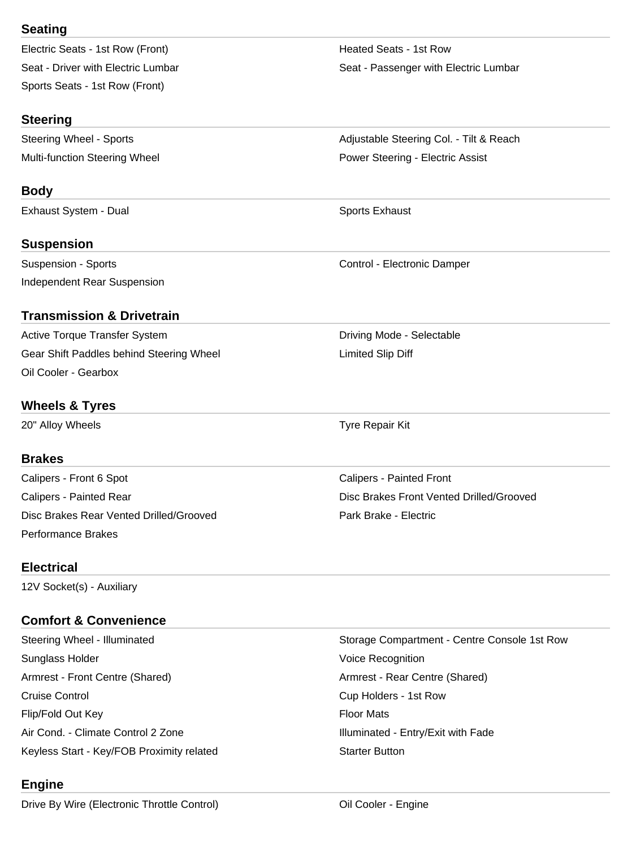## **Seating**

| Electric Seats - 1st Row (Front)   |
|------------------------------------|
| Seat - Driver with Electric Lumbar |
| Sports Seats - 1st Row (Front)     |

## **Steering**

### **Body**

Exhaust System - Dual Sports Exhaust Sports Exhaust

## **Suspension**

Suspension - Sports **Control - Electronic Damper** Control - Electronic Damper Independent Rear Suspension

### **Transmission & Drivetrain**

Active Torque Transfer System Noting Mode - Selectable Driving Mode - Selectable Gear Shift Paddles behind Steering Wheel Limited Slip Diff Oil Cooler - Gearbox

### **Wheels & Tyres**

20" Alloy Wheels **Tyre Repair Kit** 

### **Brakes**

Calipers - Front 6 Spot Calipers - Painted Front Calipers - Painted Rear Disc Brakes Front Vented Drilled/Grooved Disc Brakes Rear Vented Drilled/Grooved **Park Brake - Electric** Park Brake - Electric Performance Brakes

#### **Electrical**

12V Socket(s) - Auxiliary

## **Comfort & Convenience**

Sunglass Holder **Voice Recognition Sunglass Holder** Voice Recognition Armrest - Front Centre (Shared) Armrest - Rear Centre (Shared) Cruise Control Cup Holders - 1st Row Flip/Fold Out Key **Floor Mats** Air Cond. - Climate Control 2 Zone Internal and Illuminated - Entry/Exit with Fade Keyless Start - Key/FOB Proximity related Starter Button

## **Engine**

Drive By Wire (Electronic Throttle Control) **Only 2018** Oil Cooler - Engine

Heated Seats - 1st Row Seat - Passenger with Electric Lumbar

Steering Wheel - Sports **Adjustable Steering Col.** - Tilt & Reach Multi-function Steering Wheel **Power Steering - Electric Assist** Power Steering - Electric Assist

Steering Wheel - Illuminated Storage Compartment - Centre Console 1st Row